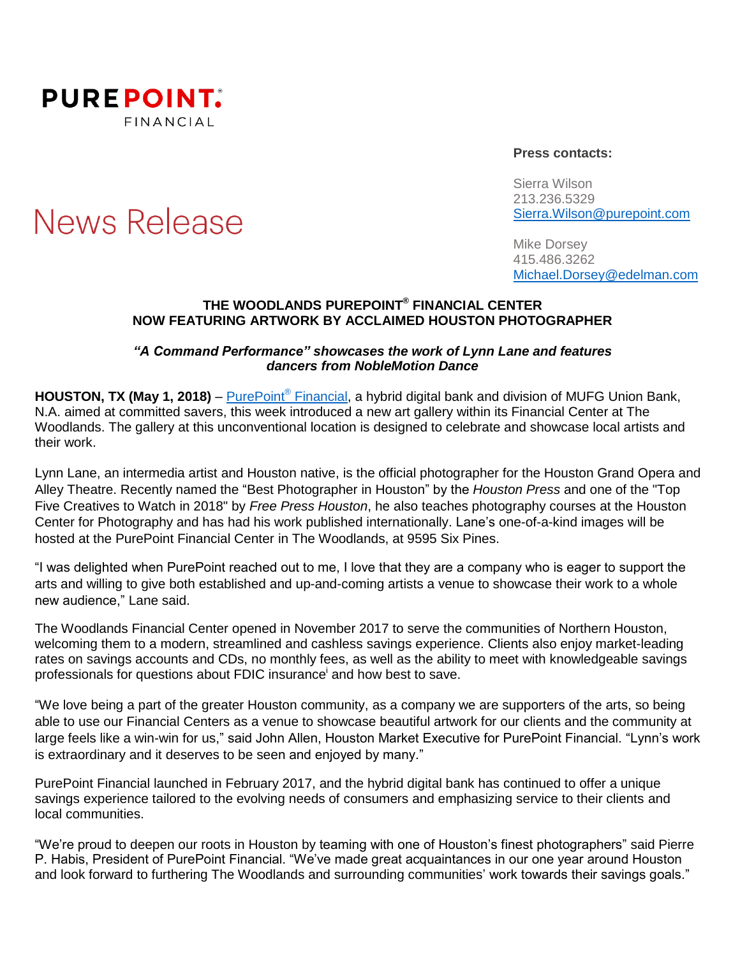

**News Release** 

#### **Press contacts:**

Sierra Wilson 213.236.5329 [Sierra.Wilson@purepoint.com](mailto:Sierra.Wilson@purepoint.com)

Mike Dorsey 415.486.3262 [Michael.Dorsey@edelman.com](mailto:Michael.Dorsey@edelman.com)

### **THE WOODLANDS PUREPOINT ® FINANCIAL CENTER NOW FEATURING ARTWORK BY ACCLAIMED HOUSTON PHOTOGRAPHER**

### *"A Command Performance" showcases the work of Lynn Lane and features dancers from NobleMotion Dance*

**HOUSTON, TX (May 1, 2018)** – [PurePoint](https://www.purepoint.com/)® Financial, a hybrid digital bank and division of MUFG Union Bank, N.A. aimed at committed savers, this week introduced a new art gallery within its Financial Center at The Woodlands. The gallery at this unconventional location is designed to celebrate and showcase local artists and their work.

Lynn Lane, an intermedia artist and Houston native, is the official photographer for the Houston Grand Opera and Alley Theatre. Recently named the "Best Photographer in Houston" by the *Houston Press* and one of the "Top Five Creatives to Watch in 2018" by *Free Press Houston*, he also teaches photography courses at the Houston Center for Photography and has had his work published internationally. Lane's one-of-a-kind images will be hosted at the PurePoint Financial Center in The Woodlands, at 9595 Six Pines.

"I was delighted when PurePoint reached out to me, I love that they are a company who is eager to support the arts and willing to give both established and up-and-coming artists a venue to showcase their work to a whole new audience," Lane said.

The Woodlands Financial Center opened in November 2017 to serve the communities of Northern Houston, welcoming them to a modern, streamlined and cashless savings experience. Clients also enjoy market-leading rates on savings accounts and CDs, no monthly fees, as well as the ability to meet with knowledgeable savings professionals for questions about FDIC insurance<sup>i</sup> and how best to save.

"We love being a part of the greater Houston community, as a company we are supporters of the arts, so being able to use our Financial Centers as a venue to showcase beautiful artwork for our clients and the community at large feels like a win-win for us," said John Allen, Houston Market Executive for PurePoint Financial. "Lynn's work is extraordinary and it deserves to be seen and enjoyed by many."

PurePoint Financial launched in February 2017, and the hybrid digital bank has continued to offer a unique savings experience tailored to the evolving needs of consumers and emphasizing service to their clients and local communities.

"We're proud to deepen our roots in Houston by teaming with one of Houston's finest photographers" said Pierre P. Habis, President of PurePoint Financial. "We've made great acquaintances in our one year around Houston and look forward to furthering The Woodlands and surrounding communities' work towards their savings goals."